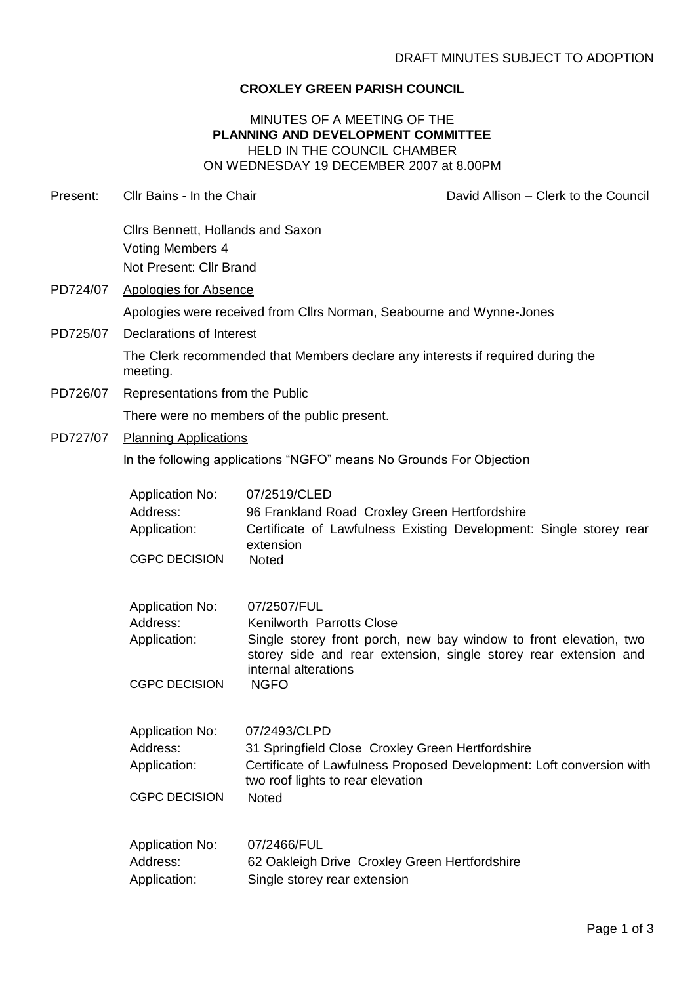## **CROXLEY GREEN PARISH COUNCIL**

### MINUTES OF A MEETING OF THE **PLANNING AND DEVELOPMENT COMMITTEE** HELD IN THE COUNCIL CHAMBER ON WEDNESDAY 19 DECEMBER 2007 at 8.00PM

| Present: | Cllr Bains - In the Chair                                                                   | David Allison - Clerk to the Council                                                                                                                                                                                     |  |  |
|----------|---------------------------------------------------------------------------------------------|--------------------------------------------------------------------------------------------------------------------------------------------------------------------------------------------------------------------------|--|--|
|          | Cllrs Bennett, Hollands and Saxon<br>Voting Members 4<br>Not Present: Cllr Brand            |                                                                                                                                                                                                                          |  |  |
| PD724/07 | <b>Apologies for Absence</b>                                                                |                                                                                                                                                                                                                          |  |  |
|          | Apologies were received from Cllrs Norman, Seabourne and Wynne-Jones                        |                                                                                                                                                                                                                          |  |  |
| PD725/07 | <b>Declarations of Interest</b>                                                             |                                                                                                                                                                                                                          |  |  |
|          | The Clerk recommended that Members declare any interests if required during the<br>meeting. |                                                                                                                                                                                                                          |  |  |
| PD726/07 | Representations from the Public                                                             |                                                                                                                                                                                                                          |  |  |
|          | There were no members of the public present.                                                |                                                                                                                                                                                                                          |  |  |
| PD727/07 | <b>Planning Applications</b>                                                                |                                                                                                                                                                                                                          |  |  |
|          | In the following applications "NGFO" means No Grounds For Objection                         |                                                                                                                                                                                                                          |  |  |
|          | <b>Application No:</b><br>Address:<br>Application:<br><b>CGPC DECISION</b>                  | 07/2519/CLED<br>96 Frankland Road Croxley Green Hertfordshire<br>Certificate of Lawfulness Existing Development: Single storey rear<br>extension<br>Noted                                                                |  |  |
|          | <b>Application No:</b><br>Address:<br>Application:<br><b>CGPC DECISION</b>                  | 07/2507/FUL<br>Kenilworth Parrotts Close<br>Single storey front porch, new bay window to front elevation, two<br>storey side and rear extension, single storey rear extension and<br>internal alterations<br><b>NGFO</b> |  |  |
|          | <b>Application No:</b><br>Address:<br>Application:<br><b>CGPC DECISION</b>                  | 07/2493/CLPD<br>31 Springfield Close Croxley Green Hertfordshire<br>Certificate of Lawfulness Proposed Development: Loft conversion with<br>two roof lights to rear elevation<br><b>Noted</b>                            |  |  |
|          | <b>Application No:</b><br>Address:<br>Application:                                          | 07/2466/FUL<br>62 Oakleigh Drive Croxley Green Hertfordshire<br>Single storey rear extension                                                                                                                             |  |  |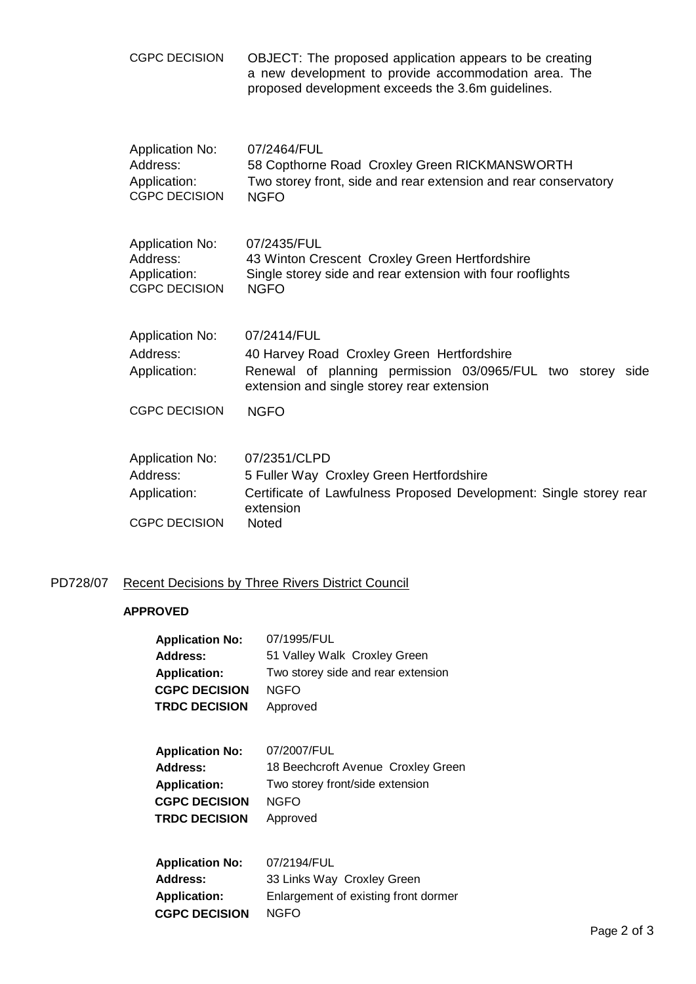| <b>CGPC DECISION</b>                                                       | OBJECT: The proposed application appears to be creating<br>a new development to provide accommodation area. The<br>proposed development exceeds the 3.6m guidelines.  |
|----------------------------------------------------------------------------|-----------------------------------------------------------------------------------------------------------------------------------------------------------------------|
| <b>Application No:</b><br>Address:<br>Application:<br><b>CGPC DECISION</b> | 07/2464/FUL<br>58 Copthorne Road Croxley Green RICKMANSWORTH<br>Two storey front, side and rear extension and rear conservatory<br><b>NGFO</b>                        |
| <b>Application No:</b><br>Address:<br>Application:<br><b>CGPC DECISION</b> | 07/2435/FUL<br>43 Winton Crescent Croxley Green Hertfordshire<br>Single storey side and rear extension with four rooflights<br><b>NGFO</b>                            |
| <b>Application No:</b><br>Address:<br>Application:                         | 07/2414/FUL<br>40 Harvey Road Croxley Green Hertfordshire<br>Renewal of planning permission 03/0965/FUL two storey side<br>extension and single storey rear extension |
| <b>CGPC DECISION</b>                                                       | <b>NGFO</b>                                                                                                                                                           |
| <b>Application No:</b><br>Address:<br>Application:<br><b>CGPC DECISION</b> | 07/2351/CLPD<br>5 Fuller Way Croxley Green Hertfordshire<br>Certificate of Lawfulness Proposed Development: Single storey rear<br>extension<br>Noted                  |
|                                                                            |                                                                                                                                                                       |

# PD728/07 Recent Decisions by Three Rivers District Council

## **APPROVED**

| 07/1995/FUL                          |
|--------------------------------------|
| 51 Valley Walk Croxley Green         |
| Two storey side and rear extension   |
| <b>NGFO</b>                          |
| Approved                             |
|                                      |
| 07/2007/FUL                          |
| 18 Beechcroft Avenue Croxley Green   |
| Two storey front/side extension      |
| <b>NGFO</b>                          |
| Approved                             |
|                                      |
| 07/2194/FUL                          |
| 33 Links Way Croxley Green           |
| Enlargement of existing front dormer |
| NGFO                                 |
|                                      |